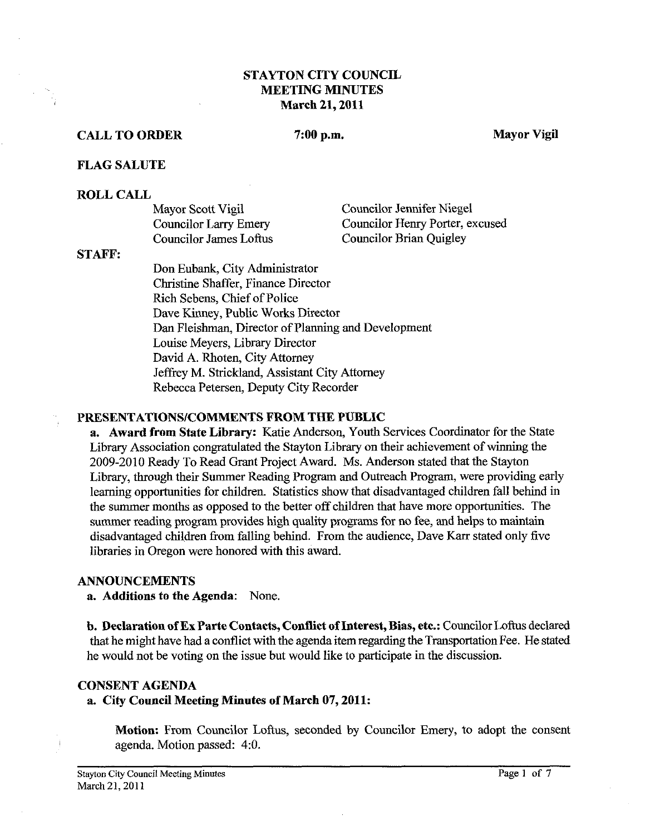# **STAYTON CITY COUNCIL MEETING MINUTES March 21,2011**

# **CALL TO ORDER 7:00 p.m. Mayor Vigil**

#### **FLAG SALUTE**

#### **ROLL CALL**

| Mayor Scott Vigil            | <b>Councilor Jennifer Niegel</b> |
|------------------------------|----------------------------------|
| <b>Councilor Larry Emery</b> | Councilor Henry Porter, excused  |
| Councilor James Loftus       | <b>Councilor Brian Quigley</b>   |

## **STAFF:**

Don Eubank, City Administrator Christine Shaffer, Finance Director Rich Sebens, Chief of Police Dave Kinney, Public Works Director Dan Fleishman, Director of Planning and Development Louise Meyers, Library Director David A. Rhoten, City Attorney Jeffrey M. Strickland, Assistant City Attorney Rebecca Petersen, Deputy City Recorder

#### **PRESENTATIONSICOMMENTS FROM THE PUBLIC**

**a. Award from State Library:** Katie Anderson, Youth Services Coordinator for the State Library Association congratulated the Stayton Library on their achievement of winning the 2009-2010 Ready To Read Grant Project Award. Ms. Anderson stated that the Stayton Library, through their Summer Reading Program and Outreach Program, were providing early learning opportunities for children. Statistics show that disadvantaged children fall behind in the summer months as opposed to the better off children that have more opportunities. The summer reading program provides high quality programs for no fee, and helps to maintain disadvantaged children fiom falling behind. From the audience, Dave Karr stated only five libraries in Oregon were honored with this award.

#### **ANNOUNCEMENTS**

**a. Additions to the Agenda:** None.

**b. Declaration of Ex Parte Contacts, Conflict of Interest, Bias, etc.: Councilor Loftus declared** that he might have had a conflict with the agenda item regarding the Transportation Fee. He stated he would not be voting on the issue but would like to participate in the discussion.

## **CONSENT AGENDA**

#### **a. City Council Meeting Minutes of March 07,2011:**

**Motion:** From Councilor Loftus, seconded by Councilor Emery, to adopt the consent agenda. Motion passed: 4:O.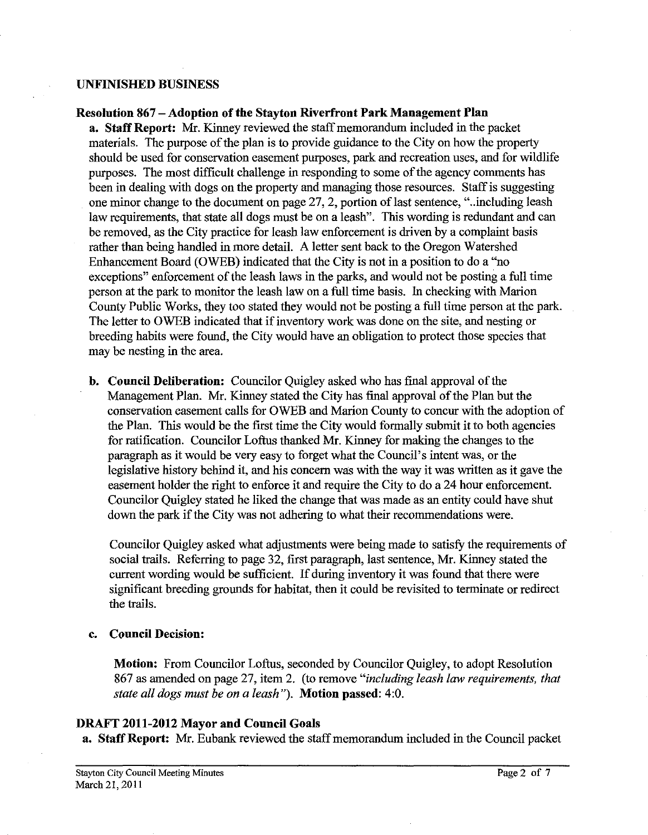## **UNFINISHED BUSINESS**

## **Resolution 867 -Adoption of the Stayton Riverfront Park Management Plan**

**a. Staff Report: Mr.** Kinney reviewed the staff memorandum included in the packet materials. The purpose of the plan is to provide guidance to the City on how the property should be used for conservation easement purposes, park and recreation uses, and for wildlife purposes. The most difficult challenge in responding to some of the agency comments has been in dealing with dogs on the property and managing those resources. Staff is suggesting one minor change to the document on page 27,2, portion of last sentence, "..including leash law requirements, that state all dogs must be on a leash". This wording is redundant and can be removed, as the City practice for leash law enforcement is driven by a complaint basis rather than being handled in more detail. **A** letter sent back to the Oregon Watershed Enhancement Board (OWEB) indicated that the City is not in a position to do a "no exceptions" enforcement of the leash laws in the parks, and would not be posting a full time person at the park to monitor the leash law on a full time basis. In checking with Marion County Public Works, they too stated they would not be posting a full time person at the park. The letter to OWEB indicated that if inventory work was done on the site, and nesting or breeding habits were found, the City would have an obligation to protect those species that may be nesting in the area.

**b. Council Deliberation:** Councilor Quigley asked who has fmal approval of the Management Plan. Mr. Kinney stated the City has final approval of the Plan but the conservation easement calls for OWEB and Marion County to concur with the adoption of the Plan. This would be the first time the City would formally submit it to both agencies for ratification. Councilor Loftus thanked Mr. Kinney for making the changes to the paragraph **as** it would be very easy to forget what the Council's intent was, or the legislative history behind it, and his concern was with the way it was written as it gave the easement holder the right to enforce it and require the City to do a 24 hour enforcement. Councilor Quigley stated he liked the change that was made as an entity could have shut down the park if the City was not adhering to what their recommendations were.

Councilor Quigley asked what adjustments were being made to satisfy the requirements of social trails. Referring to page 32, first paragraph, last sentence, Mr. Kinney stated the current wording would be sufficient. If during inventory it was found that there were significant breeding grounds for habitat, then it could be revisited to terminate or redirect the trails.

#### **c. Council Decision:**

**Motion:** From Councilor Loftus, seconded by Councilor Quigley, to adopt Resolution 867 as amended on page 27, item 2. (to remove *"including leash law requirements, that state all dogs must be on a leash").* **Motion passed:** 4:O.

# **DRAFT 2011-2012 Mayor and Council Goals**

**a. Staff Report: Mr.** Eubank reviewed the staff memorandum included in the Council packet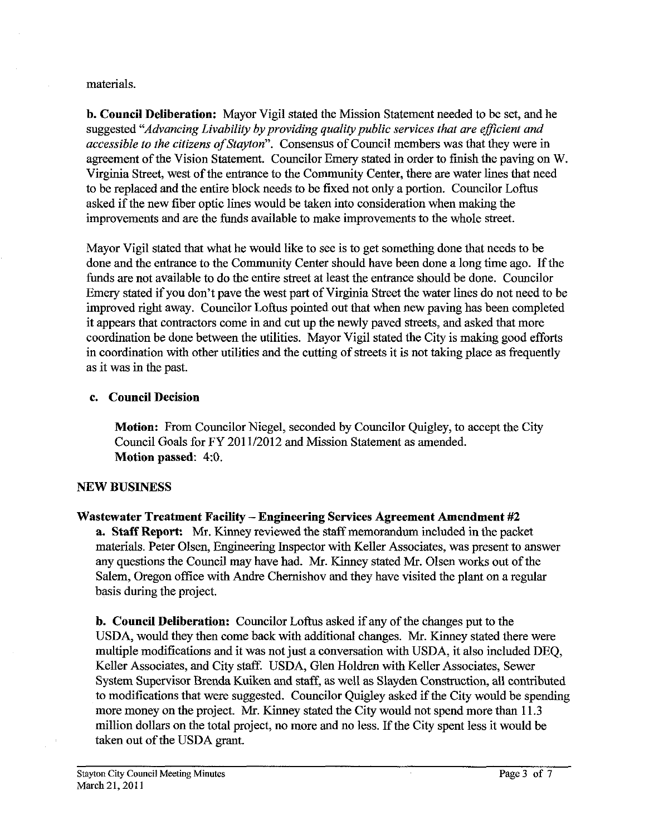## materials.

**b. Council Deliberation:** Mayor Vigil stated the Mission Statement needed to be set, and he suggested *"Advancing Livability by providing quality public services that are eficient and accessible to the citizens of Stayton".* Consensus of Council members was that they were in agreement of the Vision Statement. Councilor Emery stated in order to finish the paving on W. Virginia Street, west of the entrance to the Community Center, there are water lines that need to be replaced and the entire block needs to be fixed not only a portion. Councilor Loftus asked if the new fiber optic lines would be taken into consideration when making the improvements and are the funds available to make improvements to the whole street.

Mayor Vigil stated that what he would like to see is to get something done that needs to be done and the entrance to the Community Center should have been done a long time ago. If the funds are not available to do the entire street at least the entrance should be done. Councilor Emery stated if you don't pave the west part of Virginia Street the water lines do not need to be improved right away. Councilor Loftus pointed out that when new paving has been completed it appears that contractors come in and cut up the newly paved streets, and asked that more coordination be done between the utilities. Mayor Vigil stated the City is making good efforts in coordination with other utilities and the cutting of streets it is not taking place as frequently as it was in the past.

# **c. Council Decision**

**Motion:** From Councilor Niegel, seconded by Councilor Quigley, to accept the City Council Goals for FY 201 1/2012 and Mission Statement as amended. **Motion passed:** 4:O.

# **NEW BUSINESS**

# **Wastewater Treatment Facility -Engineering Sewices Agreement Amendment #2**

**a. Staff Report: Mr.** Kinney reviewed the staff memorandum included in the packet materials. Peter Olsen, Engineering Inspector with Keller Associates, was present to answer any questions the Council may have had. Mr. Kinney stated Mr. Olsen works out of the Salem, Oregon office with Andre Chernishov and they have visited the plant on a regular basis during the project.

**b. Council Deliberation:** Councilor Loftus asked if any of the changes put to the USDA, would they then come back with additional changes. Mr. Kinney stated there were multiple modifications and it was not just a conversation with USDA, it also included DEQ, Keller Associates, and City staff. USDA, Glen Holdren with Keller Associates, Sewer System Supervisor Brenda Kuiken and staff, as well as Slayden Construction, all contributed to modifications that were suggested. Councilor Quigley asked if the City would be spending more money on the project. Mr. Kinney stated the City would not spend more than 11.3 million dollars on the total project, no more and no less. If the City spent less it would be taken out of the USDA grant.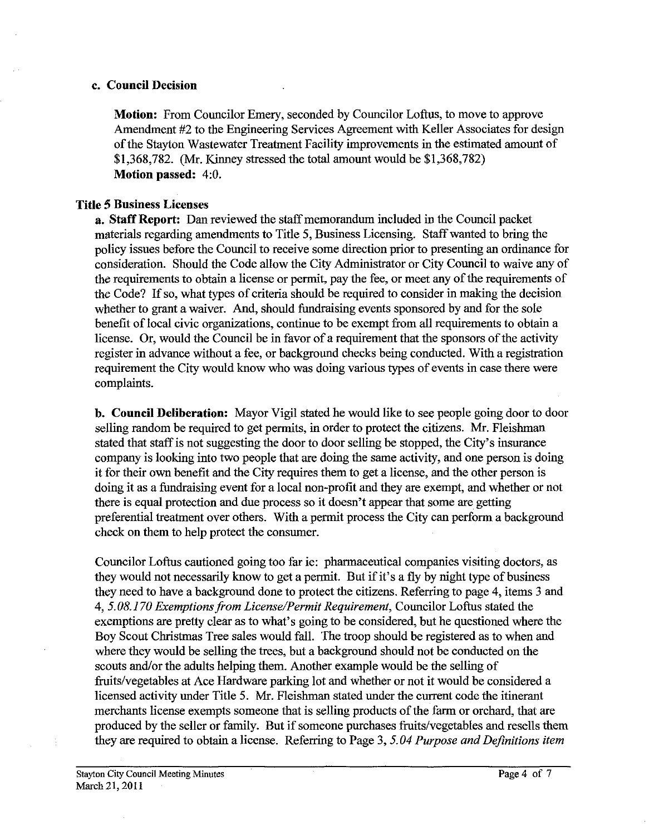## **c. Council Decision**

**Motion:** From Councilor Emery, seconded by Councilor Loftus, to move to approve Amendment #2 to the Engineering Services Agreement with Keller Associates for design of the Stayton Wastewater Treatment Facility improvements in the estimated amount of \$1,368,782. (Mr. Kinney stressed the total amount would be \$1,368,782) **Motion passed:** 4:O.

# **Title 5 Business Licenses**

**a. Staff Report:** Dan reviewed the staff memorandum included in the Council packet materials regarding amendments to Title 5, Business Licensing. Staff wanted to bring the policy issues before the Council to receive some direction prior to presenting an ordinance for consideration. Should the Code allow the City Administrator or City Council to waive any of the requirements to obtain a license or permit, pay the fee, or meet any of the requirements of thc Code? If so, what types of criteria should be required to consider in making the decision whether to grant a waiver. And, should fundraising events sponsored by and for the sole benefit of local civic organizations, continue to be exempt from all requirements to obtain a license. Or, would the Council be in favor of a requirement that the sponsors of the activity register in advance without a fee, or background checks being conducted. With a registration requirement the City would know who was doing various types of events in case there were complaints.

**b. Council Deliberation:** Mayor Vigil stated he would like to see people going door to door selling random be required to get permits, in order to protect the citizens. Mr. Fleishman stated that staff is not suggesting the door to door selling be stopped, the City's insurance company is looking into two people that are doing the same activity, and one person is doing it for their own benefit and the City requires them to get a license, and the other person is doing it as a fundraising event for a local non-profit and they are exempt, and whether or not there is equal protection and due process so it doesn't appear that some are getting preferential treatment over others. With a permit process the City can perform a background check on them to help protect the consumer.

Councilor Loftus cautioned going too far ie: pharmaceutical companies visiting doctors, as they would not necessarily know to get a permit. But if it's a fly by night type of business they need to have a background done to protect the citizens. Referring to page 4, items *3* and 4,5.08.170 *Exemptionsffom License/Permit Requirement,* Councilor Loftus stated the exemptions are pretty clear as to what's going to be considered, but he questioned where the Boy Scout Christmas Tree sales would fall. The troop should be registered as to when and where they would be selling the trees, but a background should not be conducted on the scouts and/or the adults helping them. Another example would be the selling of fruits/vegetables at Ace Hardware parking lot and whether or not it would be considered a licensed activity under Title 5. Mr. Fleishman stated under the current code the itinerant merchants license exempts someone that is selling products of the farm or orchard, that are produced by the seller or family. But if someone purchases fruits/vegetables and resells them they are required to obtain a license. Referring to Page 3,5.04 *Purpose and Dejnitions item*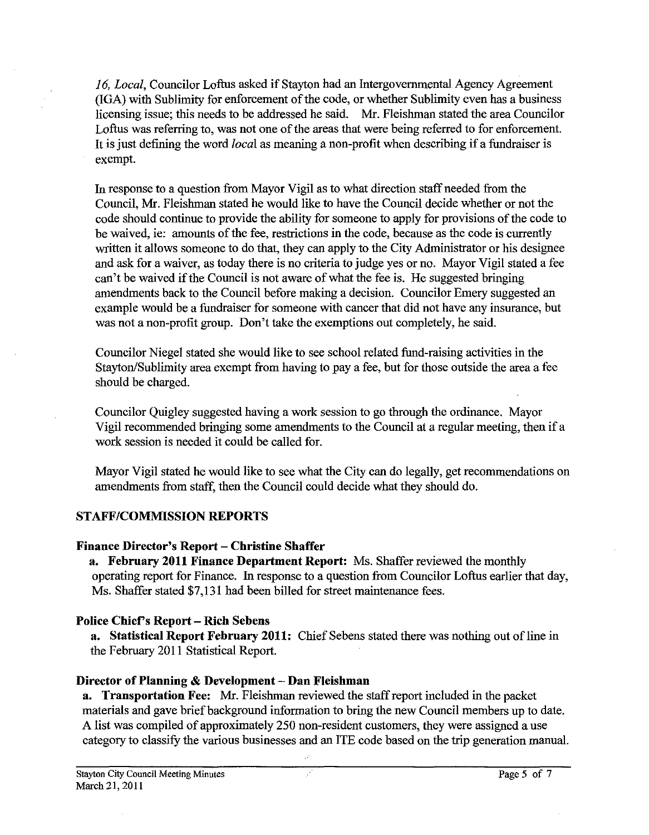16, Local, Councilor Loftus asked if Stayton had an Intergovernmental Agency Agreement (IGA) with Sublimity for enforcement of the code, or whether Sublimity even has a business licensing issue; this needs to be addressed he said. Mr. Fleishman stated the area Councilor Loftus was referring to, was not one of the areas that were being referred to for enforcement. It is just defining the word *local* as meaning a non-profit when describing if a fundraiser is exempt.

In response to a question from Mayor Vigil as to what direction staff needed from the Council, Mr. Fleishman stated he would like to have the Council decide whether or not the code should continue to provide the ability for someone to apply for provisions of the code to be waived, ie: amounts of the fee, restrictions in the code, because as the code is currently written it allows someone to do that, they can apply to the City Administrator or his designee and ask for a waiver, as today there is no criteria to judge yes or no. Mayor Vigil stated a fee can't be waived if the Council is not aware of what the fee is. He suggested bringing amendments back to the Council before making a decision. Councilor Emery suggested an example would be a fundraiser for someone with cancer that did not have any insurance, but was not a non-profit group. Don't take the exemptions out completely, he said.

Councilor Niegel stated she would like to see school related fund-raising activities in the Stayton/Sublimity area exempt from having to pay a fee, but for those outside the area a fee should be charged.

Councilor Quigley suggested having a work session to go through the ordinance. Mayor Vigil recommended bringing some amendments to the Council at a regular meeting, then if a work session is needed it could be called for.

Mayor Vigil stated he would like to see what the City can do legally, get recommendations on amendments from staff, then the Council could decide what they should do.

# **STAFFICOMMISSION REPORTS**

# **Finance Director's Report - Christine Shaffer**

**a. February 2011 Finance Department Report:** Ms. Shaffer reviewed the monthly operating report for Finance. In response to a question from Councilor Loftus earlier that day, Ms. Shaffer stated \$7,131 had been billed for street maintenance fees.

# **Police Chief's Report** - **Rich Sebens**

**a. Statistical Report February 2011:** Chief Sebens stated there was nothing out of line in the February 2011 Statistical Report.

# **Director of Planning** & **Development** - **Dan Fleishman**

**a.** Transportation Fee: Mr. Fleishman reviewed the staff report included in the packet materials and gave brief background information to bring the new Council members up to date. **A** list was compiled of approximately 250 non-resident customers, they were assigned a use category to classify the various businesses and an ITE code based on the trip generation manual.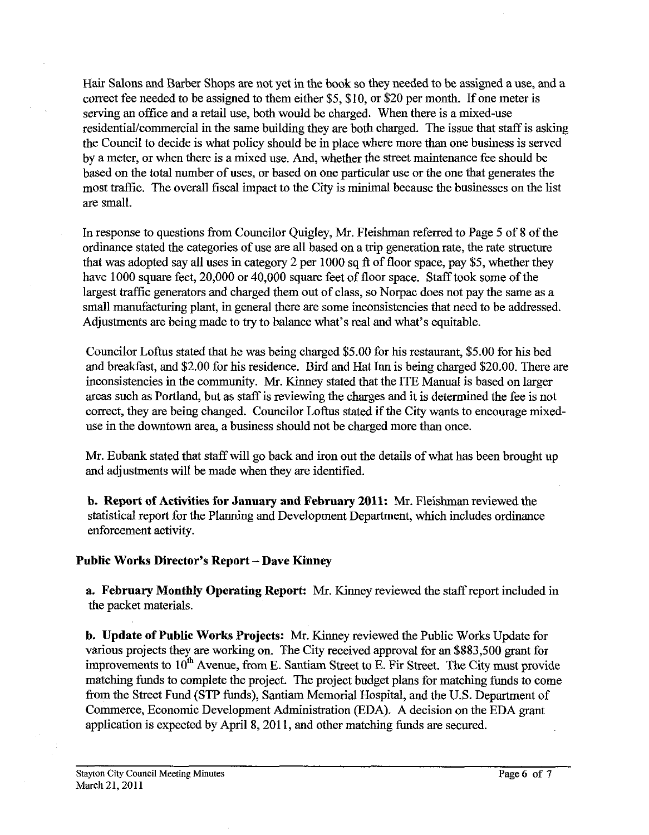Hair Salons and Barber Shops are not yet in the book so they needed to be assigned a use, and a correct fee needed to be assigned to them either \$5, \$10, or \$20 per month. If one meter is serving an office and a retail use, both would be charged. When there is a mixed-use residentiaVcommercial in the same building they are both charged. The issue that staff is asking the Council to decide is what policy should be in place where more than one business is served by a meter, or when there is a mixed use. And, whether the street maintenance fee should be based on the total number of uses, or based on one particular use or the one that generates the most traffic. The overall fiscal impact to the City is minimal because the businesses on the list are small.

In response to questions from Councilor Quigley, Mr. Fleishman referred to Page 5 of 8 of the ordinance stated the categories of use are all based on a trip generation rate, the rate structure that was adopted say all uses in category 2 per 1000 sq ft of floor space, pay \$5, whether they have 1000 square feet, 20,000 or 40,000 square feet of floor space. Staff took some of the largest traffic generators and charged them out of class, so Norpac does not pay the same as a small manufacturing plant, in general there are some inconsistencies that need to be addressed. Adjustments are being made to try to balance what's real and what's equitable.

Councilor Loftus stated that he was being charged \$5.00 for his restaurant, \$5.00 for his bed and breakfast, and \$2.00 for his residence. Bird and Hat Inn is being charged \$20.00. There are inconsistencies in the community. Mr. Kinney stated that the ITE Manual is based on larger areas such as Portland, but as staff is reviewing the charges and it is determined the fee is not correct, they are being changed. Councilor Loftus stated if the City wants to encourage mixeduse in the downtown area, a business should not be charged more than once.

Mr. Eubank stated that staff will go back and iron out the details of what has been brought up and adjustments will be made when they are identified.

**b. Report of Activities for January and February 2011:** Mr. Fleishman reviewed the statistical report for the Planning and Development Department, which includes ordinance enforcement activity.

# **Public Works Director's Report** - **Dave Kinney**

**a. February Monthly Operating Report: Mr.** Kinney reviewed the staff report included in the packet materials.

**b. Update of Public Works Projects: Mr.** Kinney reviewed the Public Works Update for various projects they are working on. The City received approval for an \$883,500 grant for improvements to 10<sup>th</sup> Avenue, from E. Santiam Street to E. Fir Street. The City must provide matching funds to complete the project. The project budget plans for matching funds to come from the Street Fund (STP funds), Santiam Memorial Hospital, and the U.S. Department of Commerce, Economic Development Administration (EDA). A decision on the EDA grant application is expected by April 8,201 1, and other matching funds are secured.